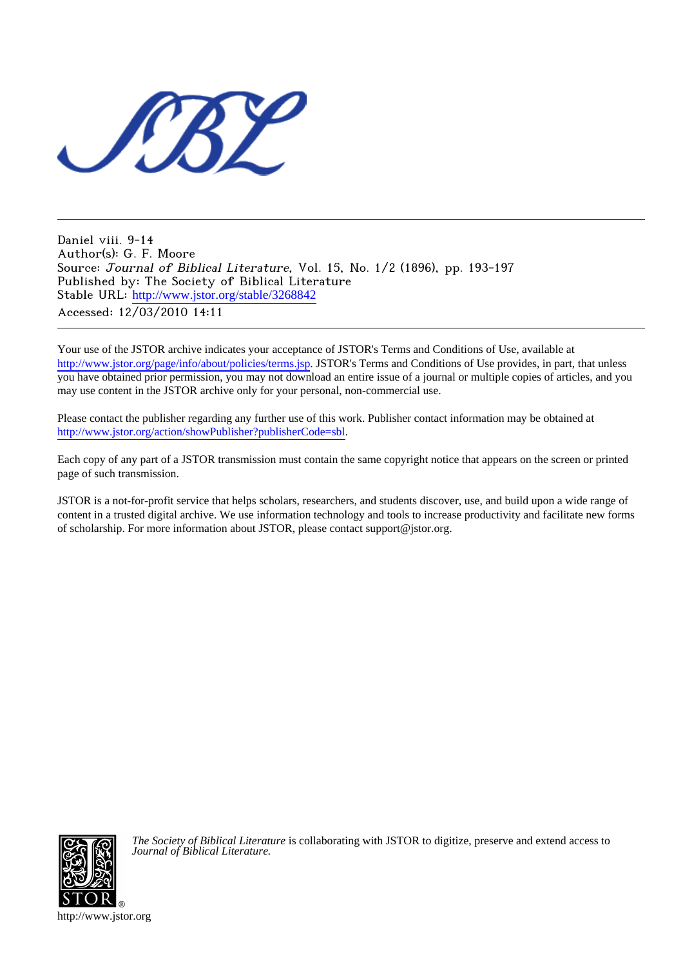

Daniel viii. 9-14 Author(s): G. F. Moore Source: Journal of Biblical Literature, Vol. 15, No. 1/2 (1896), pp. 193-197 Published by: The Society of Biblical Literature Stable URL: [http://www.jstor.org/stable/3268842](http://www.jstor.org/stable/3268842?origin=JSTOR-pdf) Accessed: 12/03/2010 14:11

Your use of the JSTOR archive indicates your acceptance of JSTOR's Terms and Conditions of Use, available at <http://www.jstor.org/page/info/about/policies/terms.jsp>. JSTOR's Terms and Conditions of Use provides, in part, that unless you have obtained prior permission, you may not download an entire issue of a journal or multiple copies of articles, and you may use content in the JSTOR archive only for your personal, non-commercial use.

Please contact the publisher regarding any further use of this work. Publisher contact information may be obtained at [http://www.jstor.org/action/showPublisher?publisherCode=sbl.](http://www.jstor.org/action/showPublisher?publisherCode=sbl)

Each copy of any part of a JSTOR transmission must contain the same copyright notice that appears on the screen or printed page of such transmission.

JSTOR is a not-for-profit service that helps scholars, researchers, and students discover, use, and build upon a wide range of content in a trusted digital archive. We use information technology and tools to increase productivity and facilitate new forms of scholarship. For more information about JSTOR, please contact support@jstor.org.



*The Society of Biblical Literature* is collaborating with JSTOR to digitize, preserve and extend access to *Journal of Biblical Literature.*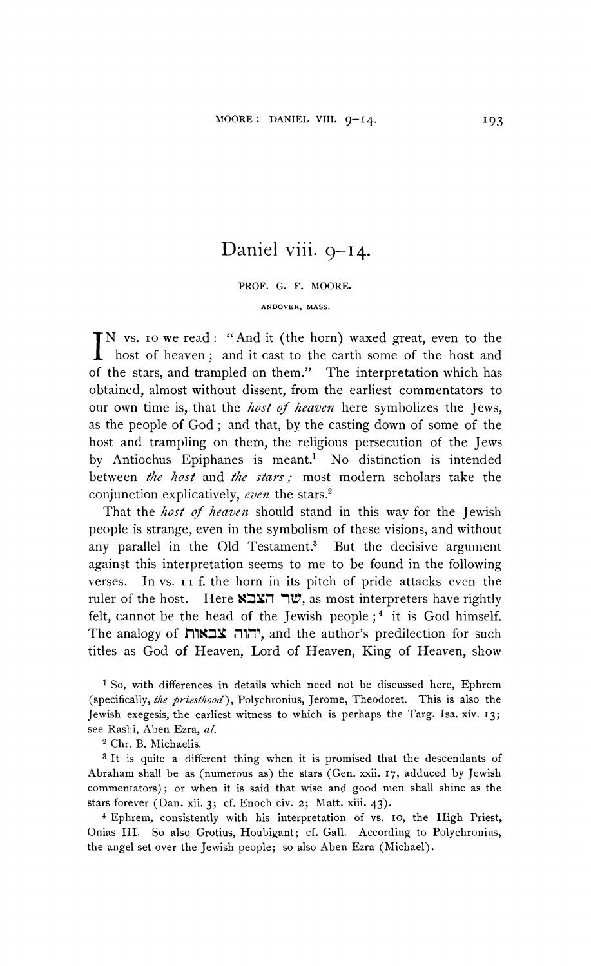## **Daniel viii. 9-I4.**

**PROF. G. F. MOORE. ANDOVER, MASS.** 

**N vs. Io we read: "And it (the horn) waxed great, even to the host of heaven; and it cast to the earth some of the host and of the stars, and trampled on them." The interpretation which has obtained, almost without dissent, from the earliest commentators to our own time is, that the host of heaven here symbolizes the Jews, as the people of God; and that, by the casting down of some of the host and trampling on them, the religious persecution of the Jews by Antiochus Epiphanes is meant.1 No distinction is intended between the host and the stars; most modern scholars take the conjunction explicatively, even the stars.2** 

**That the host of heaven should stand in this way for the Jewish people is strange, even in the symbolism of these visions, and without any parallel in the Old Testament.3 But the decisive argument against this interpretation seems to me to be found in the following verses. In vs. i f. the horn in its pitch of pride attacks even the**  ruler of the host. Here **KEX ווער** as most interpreters have rightly felt, cannot be the head of the Jewish people;<sup>4</sup> it is God himself. The analogy of יהוה צבאות, and the author's predilection for such **titles as God of Heaven, Lord of Heaven, King of Heaven, show** 

**1 So, with differences in details which need not be discussed here, Ephrem (specifically, the priesthood), Polychronius, Jerome, Theodoret. This is also the Jewish exegesis, the earliest witness to which is perhaps the Targ. Isa. xiv. I3; see Rashi, Aben Ezra, al.** 

**2 Chr. B. Michaelis.** 

**<sup>3</sup>It is quite a different thing when it is promised that the descendants of Abraham shall be as (numerous as) the stars (Gen. xxii. 17, adduced by Jewish commentators); or when it is said that wise and good men shall shine as the stars forever (Dan. xii. 3; cf. Enoch civ. 2; Matt. xiii. 43).** 

**4Ephrem, consistently with his interpretation of vs. Io, the High Priest, Onias III. So also Grotius, Houbigant; cf. Gall. According to Polychronius, the angel set over the Jewish people; so also Aben Ezra (Michael).**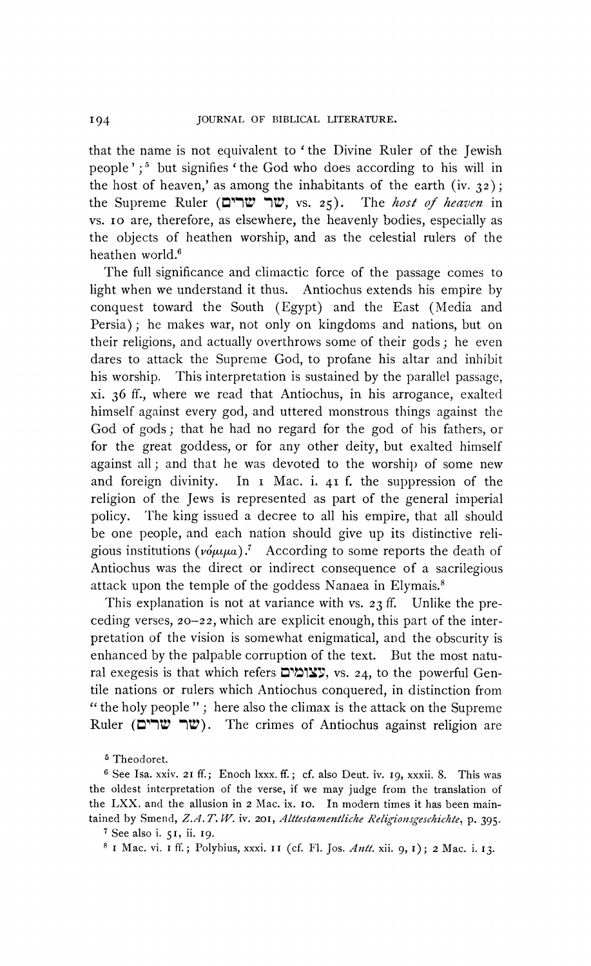**that the name is not equivalent to ' the Divine Ruler of the Jewish**  people';<sup>5</sup> but signifies 'the God who does according to his will in the host of heaven,' as among the inhabitants of the earth (iv.  $32$ ); **the Supreme Ruler (M1"" 'IV, vs. 25). The host of heaven in vs. IO are, therefore, as elsewhere, the heavenly bodies, especially as the objects of heathen worship, and as the celestial rulers of the heathen world.6** 

**The full significance and climactic force of the passage comes to light** Antiochus extends his empire by **conquest toward the South (Egypt) and the East (Media and Persia); he makes war, not only on kingdoms and nations, but on their religions, and actually overthrows some of their gods; he even dares to attack the Supreme God, to profane his altar and inhibit his worship. This interpretation is sustained by the parallel passage, xi. 36 ff., where we read that Antiochus, in his arrogance, exalted himself against every god, and uttered monstrous things against the God of gods; that he had no regard for the god of his fathers, or for the great goddess, or for any other deity, but exalted himself against all; and that he was devoted to the worship of some new and foreign divinity. In i Mac. i. 41 f. the suppression of the religion of the Jews is represented as part of the general imperial policy. The king issued a decree to all his empire, that all should be one people, and each nation should give up its distinctive reli**gious institutions  $(v \circ \mu \mu a)$ .<sup>7</sup> According to some reports the death of **Antiochus was the direct or indirect consequence of a sacrilegious attack upon the temple of the goddess Nanaea in Elymais.8** 

**This explanation is not at variance with vs. 23 ff. Unlike the preceding verses, 20-22, which are explicit enough, this part of the interpretation of the vision is somewhat enigmatical, and the obscurity is enhanced by the palpable corruption of the text. But the most natu**ral exegesis is that which refers **צומים**, vs. 24, to the powerful Gen**tile nations or rulers which Antiochus conquered, in distinction from " the holy people "; here also the climax is the attack on the Supreme Ruler (t"TF 'IV). The crimes of Antiochus against religion are** 

**5 Theodoret.** 

**I94** 

**<sup>6</sup>See Isa. xxiv. 21 ff.; Enoch lxxx. ff.; cf. also Deut. iv. I9, xxxii. 8. This was the oldest interpretation of the verse, if we may judge from the translation of the LXX. and the allusion in 2 Mac. ix. Io. In modern times it has been maintained by Smend, Z.A. T. W. iv. 201, Alttestamentliche Religionsgeschichte, p. 395.** 

**<sup>7</sup> See also i. 51, ii. I9.** 

**<sup>8</sup> I Mac. vi. I ff.; Polybius, xxxi. II (cf. Fl. Jos. Antt. xii. 9, I); 2 Mac. i. I3.**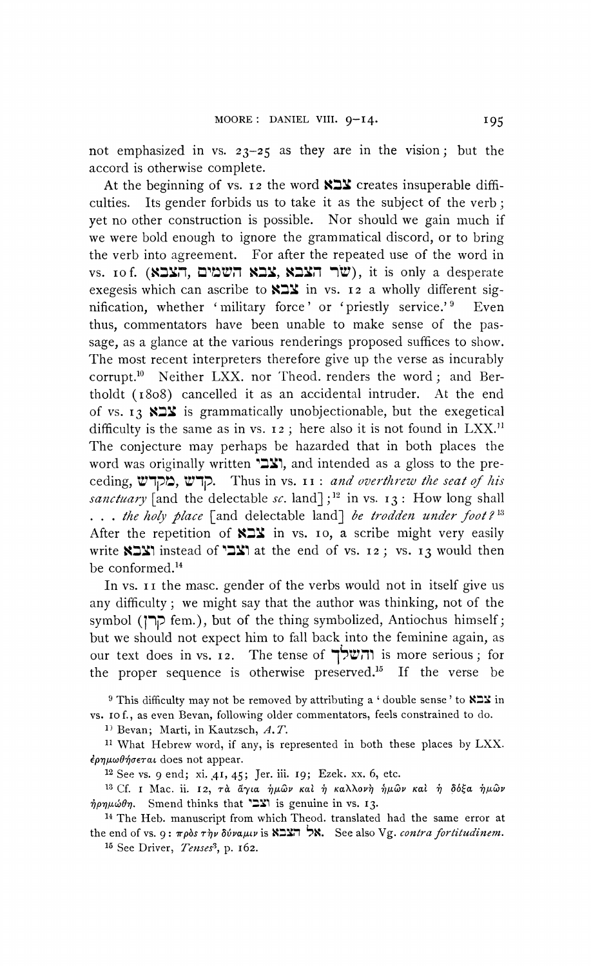**not emphasized in vs. 23-25 as they are in the vision; but the accord is otherwise complete.** 

At the beginning of vs. 12 the word **KIY** creates insuperable diffi**culties. Its gender forbids us to take it as the subject of the verb; yet no other construction is possible. Nor should we gain much if we were bold enough to ignore the grammatical discord, or to bring the verb into agreement. For after the repeated use of the word in**  vs. 10f. (**Xבא השמים**, **הצבא, xבא וועה** ( $\mathbf{W}$ ), it is only a desperate exegesis which can ascribe to  $X_2$  in vs. **12** a wholly different sig**nification, whether 'military force' or 'priestly service.'9 Even thus, commentators have been unable to make sense of the passage, as a glance at the various renderings proposed suffices to show. The most recent interpreters therefore give up the verse as incurably**  corrupt.<sup>10</sup> Neither LXX. nor Theod. renders the word; and Ber**tholdt (i808) cancelled it as an accidental intruder. At the end**  of vs. 13 **KIX** is grammatically unobjectionable, but the exegetical difficulty is the same as in vs. **12**; here also it is not found in LXX.<sup>11</sup> **The conjecture may perhaps be hazarded that in both places the**  word was originally written '21, and intended as a gloss to the preceding, **בזקדש**, סאָר Thus in vs. **11**: and overthrew the seat of his sanctuary [and the delectable sc. land];<sup>12</sup> in vs. 13: How long shall **...** the holy place [and delectable land] be trodden under foot?<sup>13</sup> After the repetition of **XIX** in vs. 10, a scribe might very easily **write XIXI** instead of **211** at the end of vs. **12;**  vs. **13** would then **be conformed.'4** 

**In vs. 11 the masc. gender of the verbs would not in itself give us any difficulty; we might say that the author was thinking, not of the symbol (1lP fem.), but of the thing symbolized, Antiochus himself; but we should not expect him to fall back into the feminine again, as our text does in vs. I2. The tense of 't~^3 is more serious; for**  the proper sequence is otherwise preserved.<sup>15</sup> If the verse be

**9 This difficulty may not be removed by attributing a ' double sense' to**  $X \rightharpoonup X$  **in vs. Io f., as even Bevan, following older commentators, feels constrained to do.** 

<sup>1)</sup> Bevan; Marti, in Kautzsch, A.T.

**11 What Hebrew word, if any, is represented in both these places by LXX.**  *έρημωθήσεται* does not appear.

**<sup>12</sup>See vs. 9 end; xi. ,4I, 45; Jer. iii. I9; Ezek. xx. 6, etc.** 

<sup>13</sup> Cf. **I** Mac. ii. **12**, τα άγια ήμων και ή καλλονή ήμων και ή δόξα ήμων  $\dot{\eta} \rho \eta \mu \omega \theta \eta$ . Smend thinks that **EX** is genuine in vs. 13.

**<sup>14</sup>The Heb. manuscript from which Theod. translated had the same error at the end of vs. 9: πρòs τὴν δύναμιν is Kאל הצבא.** See also Vg. contra fortitudinem.

**15 See Driver, Tenses3, p. 162.**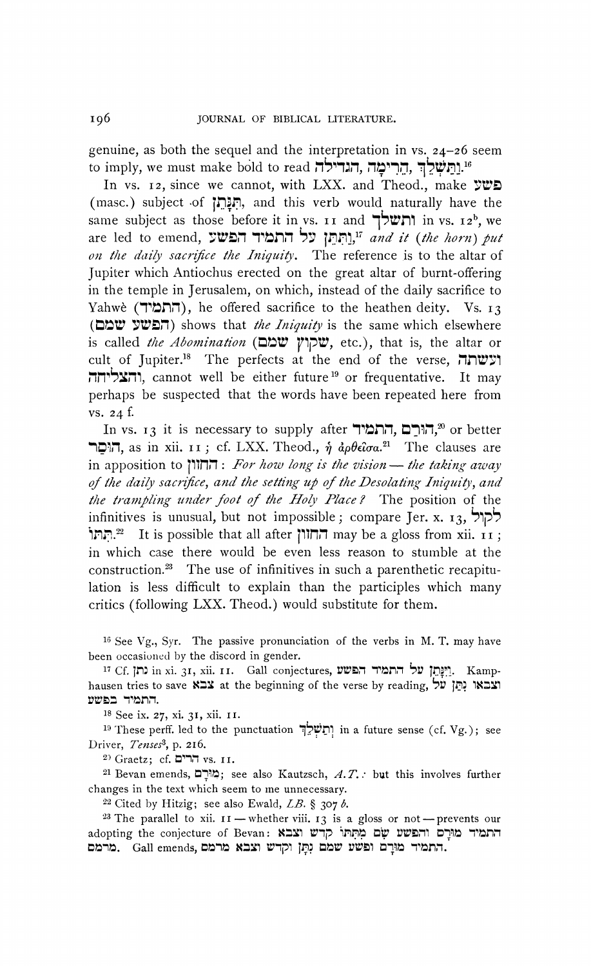**genuine, as both the sequel and the interpretation in vs. 24-26 seem**  to imply, we must make bold to read **... הגדילה. הנרימה.**<br>-

**In vs. 12, since we cannot, with LXX. and Theod., make 7TD (masc.) subject -of 73r1. , and this verb would naturally have the**  same subject as those before it in vs. **11** and  $\prod_{i=1}^{n}$  in vs. **12<sup>b</sup>**, we **are led to emend, rD, Fh n D: 1.7 .nn,17 and it (lie horn) put on the daily sacrifice the Iniquity. The reference is to the altar of Jupiter which Antiochus erected on the great altar of burnt-offering in the temple in Jerusalem, on which, instead of the daily sacrifice to**  Yahwè (**התמיד)**, he offered sacrifice to the heathen deity. Vs. 13 **(הפשע שמם)** shows that *the Iniquity* is the same which elsewhere **is called the Abomination (Dt= 1pT, etc.), that is, the altar or**  cult of Jupiter.<sup>18</sup> The perfects at the end of the verse, **ועשתה ,nmSTril, cannot well be either future'9 or frequentative. It may perhaps be suspected that the words have been repeated here from vs. 24 f.** 

**In vs. 13 it is necessary to supply after 'הורם, התמיד, 20 or better I** $\pi$ , as in xii. **11**; cf. LXX. Theod.,  $\eta$   $\partial \theta \epsilon \partial \sigma a$ <sup>21</sup> The clauses are  $\mathbf{F}$ in apposition to  $\mathbf{F}$  $\mathbf{F}$  $\mathbf{F}$  *. For how long is the vision*  $\mathbf{F}$  *the taking away* **of the daily sacrifice, and the setting up of the Desolating Iniquity, and**  the trampling under foot of the Holy Place? The position of the infinitives is unusual, but not impossible; compare Jer. x. 13, לקול **the investible that all after החוון may be a gloss from xii. ii** ; **in which case there would be even less reason to stumble at the construction.23 The use of infinitives in such a parenthetic recapitulation is less difficult to explain than the participles which many critics (following LXX. Theod.) would substitute for them.** 

**16 See Vg., Syr. The passive pronunciation of the verbs in M. T. may have been occasioned by the discord in gender.** 

**<sup>17</sup>Cf. ln: in xi. 31, xii. II. Gall conjectures, V.t1 '"I . ,~ 1N l. Kamp**hausen tries to save **EXX** at the beginning of the verse by reading, דותמיד בפשע **המש**ע

**<sup>18</sup>See ix. 27, xi. 31, xii. II.** 

**19 These perff. led to the punctuation ..n)ll in a future sense (cf. Vg.); see Driver, Tenses3, p. 216.** 

**20 Graetz; cf. V'V, vs. II.** 

**<sup>21</sup>Bevan emends, ?11; see also Kautzsch, A.T. . but this involves further changes in the text which seem to me unnecessary.** 

 $22$  Cited by Hitzig; see also Ewald,  $LB$ . § 307  $b$ .

<sup>23</sup> The parallel to xii.  $II$  - whether viii. 13 is a gloss or not - prevents our adopting the conjecture of Bevan: **וֹרִם וֹעִבֹא** adopting the conjecture of Bevan: **Dtlnt. Gall emends, DtHit MX: Wg'll \1: = .W ; : :11. 'T trnm.**